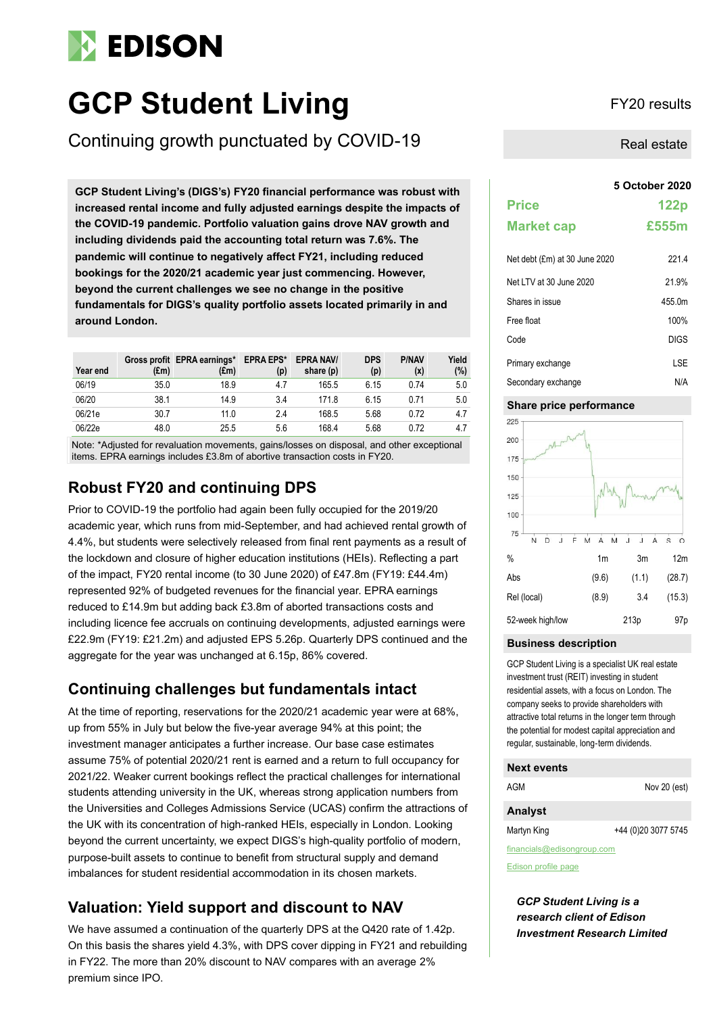# **EDISON**

# **GCP Student Living** FY20 results

Continuing growth punctuated by COVID-19

**GCP Student Living's (DIGS's) FY20 financial performance was robust with increased rental income and fully adjusted earnings despite the impacts of the COVID-19 pandemic. Portfolio valuation gains drove NAV growth and including dividends paid the accounting total return was 7.6%. The pandemic will continue to negatively affect FY21, including reduced bookings for the 2020/21 academic year just commencing. However, beyond the current challenges we see no change in the positive fundamentals for DIGS's quality portfolio assets located primarily in and around London.**

| Year end | $(\text{Em})$ | Gross profit EPRA earnings*<br>(£m) | <b>EPRA EPS*</b><br>(p) | <b>EPRA NAV/</b><br>share (p) | <b>DPS</b><br>(p) | <b>P/NAV</b><br>(x) | Yield<br>(%) |
|----------|---------------|-------------------------------------|-------------------------|-------------------------------|-------------------|---------------------|--------------|
| 06/19    | 35.0          | 18.9                                | 4.7                     | 165.5                         | 6.15              | 0.74                | 5.0          |
| 06/20    | 38.1          | 14.9                                | 3.4                     | 171.8                         | 6.15              | 0.71                | 5.0          |
| 06/21e   | 30.7          | 11.0                                | 24                      | 168.5                         | 5.68              | 0.72                | 4.7          |
| 06/22e   | 48.0          | 25.5                                | 5.6                     | 168.4                         | 5.68              | 0.72                | 4.7          |

Note: \*Adjusted for revaluation movements, gains/losses on disposal, and other exceptional items. EPRA earnings includes £3.8m of abortive transaction costs in FY20.

# **Robust FY20 and continuing DPS**

Prior to COVID-19 the portfolio had again been fully occupied for the 2019/20 academic year, which runs from mid-September, and had achieved rental growth of 4.4%, but students were selectively released from final rent payments as a result of the lockdown and closure of higher education institutions (HEIs). Reflecting a part of the impact, FY20 rental income (to 30 June 2020) of £47.8m (FY19: £44.4m) represented 92% of budgeted revenues for the financial year. EPRA earnings reduced to £14.9m but adding back £3.8m of aborted transactions costs and including licence fee accruals on continuing developments, adjusted earnings were £22.9m (FY19: £21.2m) and adjusted EPS 5.26p. Quarterly DPS continued and the aggregate for the year was unchanged at 6.15p, 86% covered.

# **Continuing challenges but fundamentals intact**

At the time of reporting, reservations for the 2020/21 academic year were at 68%, up from 55% in July but below the five-year average 94% at this point; the investment manager anticipates a further increase. Our base case estimates assume 75% of potential 2020/21 rent is earned and a return to full occupancy for 2021/22. Weaker current bookings reflect the practical challenges for international students attending university in the UK, whereas strong application numbers from the Universities and Colleges Admissions Service (UCAS) confirm the attractions of the UK with its concentration of high-ranked HEIs, especially in London. Looking beyond the current uncertainty, we expect DIGS's high-quality portfolio of modern, purpose-built assets to continue to benefit from structural supply and demand imbalances for student residential accommodation in its chosen markets.

# **Valuation: Yield support and discount to NAV**

We have assumed a continuation of the quarterly DPS at the Q420 rate of 1.42p. On this basis the shares yield 4.3%, with DPS cover dipping in FY21 and rebuilding in FY22. The more than 20% discount to NAV compares with an average 2% premium since IPO.

Real estate

|                               | 5 October 2020 |
|-------------------------------|----------------|
| <b>Price</b>                  | 122p           |
| <b>Market cap</b>             | £555m          |
| Net debt (£m) at 30 June 2020 | 221.4          |
| Net LTV at 30 June 2020       | 21.9%          |
| Shares in issue               | 455.0m         |
| Free float                    | 100%           |
| Code                          | <b>DIGS</b>    |
| Primary exchange              | LSE            |
| Secondary exchange            | N/A            |

#### **Share price performance**



#### **Business description**

GCP Student Living is a specialist UK real estate investment trust (REIT) investing in student residential assets, with a focus on London. The company seeks to provide shareholders with attractive total returns in the longer term through the potential for modest capital appreciation and regular, sustainable, long-term dividends.

#### **Next events**

| AGM                        | Nov 20 (est)        |  |  |  |  |
|----------------------------|---------------------|--|--|--|--|
| <b>Analyst</b>             |                     |  |  |  |  |
| Martyn King                | +44 (0)20 3077 5745 |  |  |  |  |
| financials@edisongroup.com |                     |  |  |  |  |

[Edison profile page](https://www.edisongroup.com/company/GCP-Student-Living)

*GCP Student Living is a research client of Edison Investment Research Limited*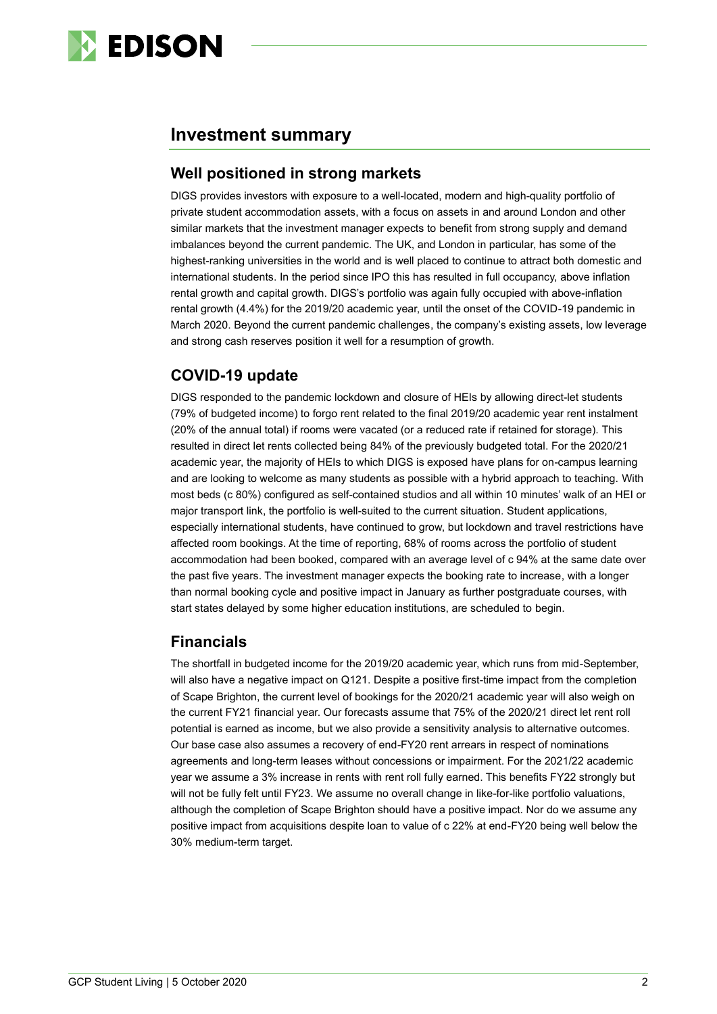

# **Investment summary**

## **Well positioned in strong markets**

DIGS provides investors with exposure to a well-located, modern and high-quality portfolio of private student accommodation assets, with a focus on assets in and around London and other similar markets that the investment manager expects to benefit from strong supply and demand imbalances beyond the current pandemic. The UK, and London in particular, has some of the highest-ranking universities in the world and is well placed to continue to attract both domestic and international students. In the period since IPO this has resulted in full occupancy, above inflation rental growth and capital growth. DIGS's portfolio was again fully occupied with above-inflation rental growth (4.4%) for the 2019/20 academic year, until the onset of the COVID-19 pandemic in March 2020. Beyond the current pandemic challenges, the company's existing assets, low leverage and strong cash reserves position it well for a resumption of growth.

## **COVID-19 update**

DIGS responded to the pandemic lockdown and closure of HEIs by allowing direct-let students (79% of budgeted income) to forgo rent related to the final 2019/20 academic year rent instalment (20% of the annual total) if rooms were vacated (or a reduced rate if retained for storage). This resulted in direct let rents collected being 84% of the previously budgeted total. For the 2020/21 academic year, the majority of HEIs to which DIGS is exposed have plans for on-campus learning and are looking to welcome as many students as possible with a hybrid approach to teaching. With most beds (c 80%) configured as self-contained studios and all within 10 minutes' walk of an HEI or major transport link, the portfolio is well-suited to the current situation. Student applications, especially international students, have continued to grow, but lockdown and travel restrictions have affected room bookings. At the time of reporting, 68% of rooms across the portfolio of student accommodation had been booked, compared with an average level of c 94% at the same date over the past five years. The investment manager expects the booking rate to increase, with a longer than normal booking cycle and positive impact in January as further postgraduate courses, with start states delayed by some higher education institutions, are scheduled to begin.

# **Financials**

The shortfall in budgeted income for the 2019/20 academic year, which runs from mid-September, will also have a negative impact on Q121. Despite a positive first-time impact from the completion of Scape Brighton, the current level of bookings for the 2020/21 academic year will also weigh on the current FY21 financial year. Our forecasts assume that 75% of the 2020/21 direct let rent roll potential is earned as income, but we also provide a sensitivity analysis to alternative outcomes. Our base case also assumes a recovery of end-FY20 rent arrears in respect of nominations agreements and long-term leases without concessions or impairment. For the 2021/22 academic year we assume a 3% increase in rents with rent roll fully earned. This benefits FY22 strongly but will not be fully felt until FY23. We assume no overall change in like-for-like portfolio valuations, although the completion of Scape Brighton should have a positive impact. Nor do we assume any positive impact from acquisitions despite loan to value of c 22% at end-FY20 being well below the 30% medium-term target.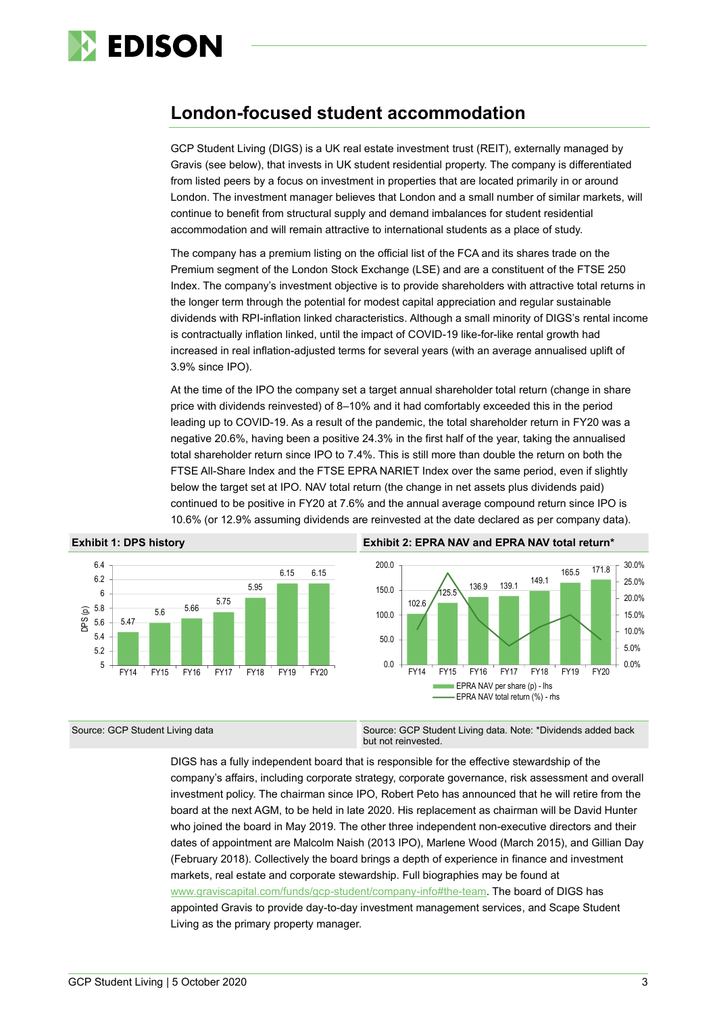

# **London-focused student accommodation**

GCP Student Living (DIGS) is a UK real estate investment trust (REIT), externally managed by Gravis (see below), that invests in UK student residential property. The company is differentiated from listed peers by a focus on investment in properties that are located primarily in or around London. The investment manager believes that London and a small number of similar markets, will continue to benefit from structural supply and demand imbalances for student residential accommodation and will remain attractive to international students as a place of study.

The company has a premium listing on the official list of the FCA and its shares trade on the Premium segment of the London Stock Exchange (LSE) and are a constituent of the FTSE 250 Index. The company's investment objective is to provide shareholders with attractive total returns in the longer term through the potential for modest capital appreciation and regular sustainable dividends with RPI-inflation linked characteristics. Although a small minority of DIGS's rental income is contractually inflation linked, until the impact of COVID-19 like-for-like rental growth had increased in real inflation-adjusted terms for several years (with an average annualised uplift of 3.9% since IPO).

At the time of the IPO the company set a target annual shareholder total return (change in share price with dividends reinvested) of 8–10% and it had comfortably exceeded this in the period leading up to COVID-19. As a result of the pandemic, the total shareholder return in FY20 was a negative 20.6%, having been a positive 24.3% in the first half of the year, taking the annualised total shareholder return since IPO to 7.4%. This is still more than double the return on both the FTSE All-Share Index and the FTSE EPRA NARIET Index over the same period, even if slightly below the target set at IPO. NAV total return (the change in net assets plus dividends paid) continued to be positive in FY20 at 7.6% and the annual average compound return since IPO is 10.6% (or 12.9% assuming dividends are reinvested at the date declared as per company data).



Source: GCP Student Living data Source: GCP Student Living data. Note: \*Dividends added back but not reinvested.

> DIGS has a fully independent board that is responsible for the effective stewardship of the company's affairs, including corporate strategy, corporate governance, risk assessment and overall investment policy. The chairman since IPO, Robert Peto has announced that he will retire from the board at the next AGM, to be held in late 2020. His replacement as chairman will be David Hunter who joined the board in May 2019. The other three independent non-executive directors and their dates of appointment are Malcolm Naish (2013 IPO), Marlene Wood (March 2015), and Gillian Day (February 2018). Collectively the board brings a depth of experience in finance and investment markets, real estate and corporate stewardship. Full biographies may be found at [www.graviscapital.com/funds/gcp-student/company-info#the-team.](http://www.graviscapital.com/funds/gcp-student/company-info#the-team) The board of DIGS has appointed Gravis to provide day-to-day investment management services, and Scape Student Living as the primary property manager.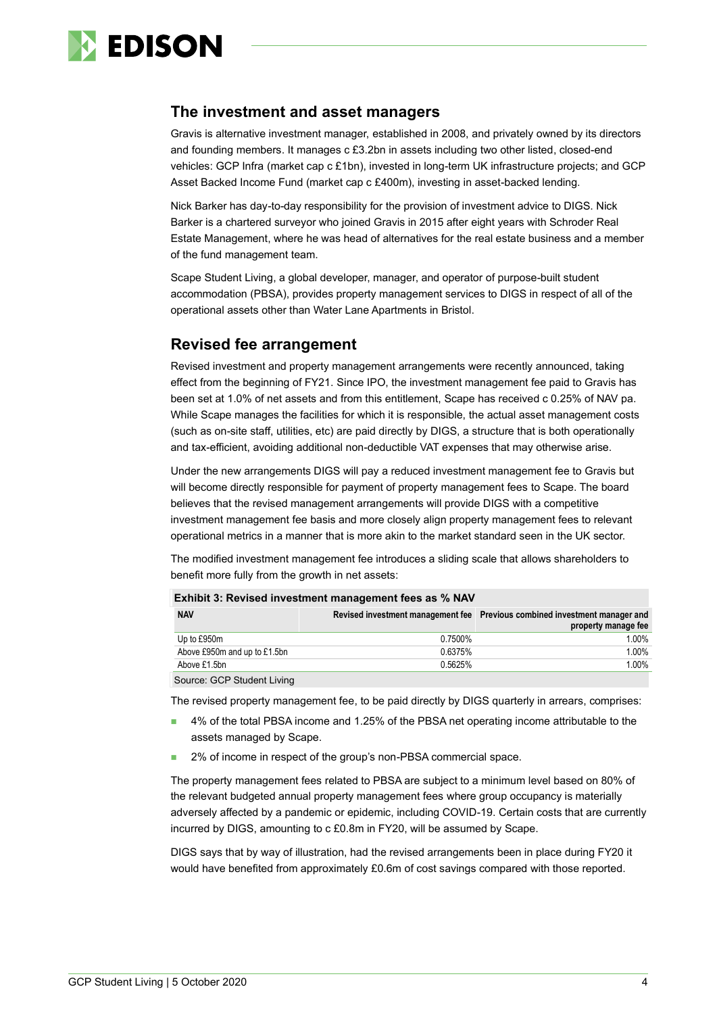

#### **The investment and asset managers**

Gravis is alternative investment manager, established in 2008, and privately owned by its directors and founding members. It manages c £3.2bn in assets including two other listed, closed-end vehicles: GCP Infra (market cap c £1bn), invested in long-term UK infrastructure projects; and GCP Asset Backed Income Fund (market cap c £400m), investing in asset-backed lending.

Nick Barker has day-to-day responsibility for the provision of investment advice to DIGS. Nick Barker is a chartered surveyor who joined Gravis in 2015 after eight years with Schroder Real Estate Management, where he was head of alternatives for the real estate business and a member of the fund management team.

Scape Student Living, a global developer, manager, and operator of purpose-built student accommodation (PBSA), provides property management services to DIGS in respect of all of the operational assets other than Water Lane Apartments in Bristol.

### **Revised fee arrangement**

Revised investment and property management arrangements were recently announced, taking effect from the beginning of FY21. Since IPO, the investment management fee paid to Gravis has been set at 1.0% of net assets and from this entitlement, Scape has received c 0.25% of NAV pa. While Scape manages the facilities for which it is responsible, the actual asset management costs (such as on-site staff, utilities, etc) are paid directly by DIGS, a structure that is both operationally and tax-efficient, avoiding additional non-deductible VAT expenses that may otherwise arise.

Under the new arrangements DIGS will pay a reduced investment management fee to Gravis but will become directly responsible for payment of property management fees to Scape. The board believes that the revised management arrangements will provide DIGS with a competitive investment management fee basis and more closely align property management fees to relevant operational metrics in a manner that is more akin to the market standard seen in the UK sector.

The modified investment management fee introduces a sliding scale that allows shareholders to benefit more fully from the growth in net assets:

| <b>Exhibit 3: Revised investment management fees as % NAV</b> |         |                                                                                                   |  |  |  |  |  |  |  |  |
|---------------------------------------------------------------|---------|---------------------------------------------------------------------------------------------------|--|--|--|--|--|--|--|--|
| <b>NAV</b>                                                    |         | Revised investment management fee Previous combined investment manager and<br>property manage fee |  |  |  |  |  |  |  |  |
| Up to £950m                                                   | 0.7500% | $1.00\%$                                                                                          |  |  |  |  |  |  |  |  |
| Above £950m and up to £1.5bn                                  | 0.6375% | 1.00%                                                                                             |  |  |  |  |  |  |  |  |
| Above £1.5bn                                                  | 0.5625% | 1.00%                                                                                             |  |  |  |  |  |  |  |  |
| Source: GCP Student Living                                    |         |                                                                                                   |  |  |  |  |  |  |  |  |

Source: GCP Student Living

The revised property management fee, to be paid directly by DIGS quarterly in arrears, comprises:

- ◼ 4% of the total PBSA income and 1.25% of the PBSA net operating income attributable to the assets managed by Scape.
- 2% of income in respect of the group's non-PBSA commercial space.

The property management fees related to PBSA are subject to a minimum level based on 80% of the relevant budgeted annual property management fees where group occupancy is materially adversely affected by a pandemic or epidemic, including COVID-19. Certain costs that are currently incurred by DIGS, amounting to c £0.8m in FY20, will be assumed by Scape.

DIGS says that by way of illustration, had the revised arrangements been in place during FY20 it would have benefited from approximately £0.6m of cost savings compared with those reported.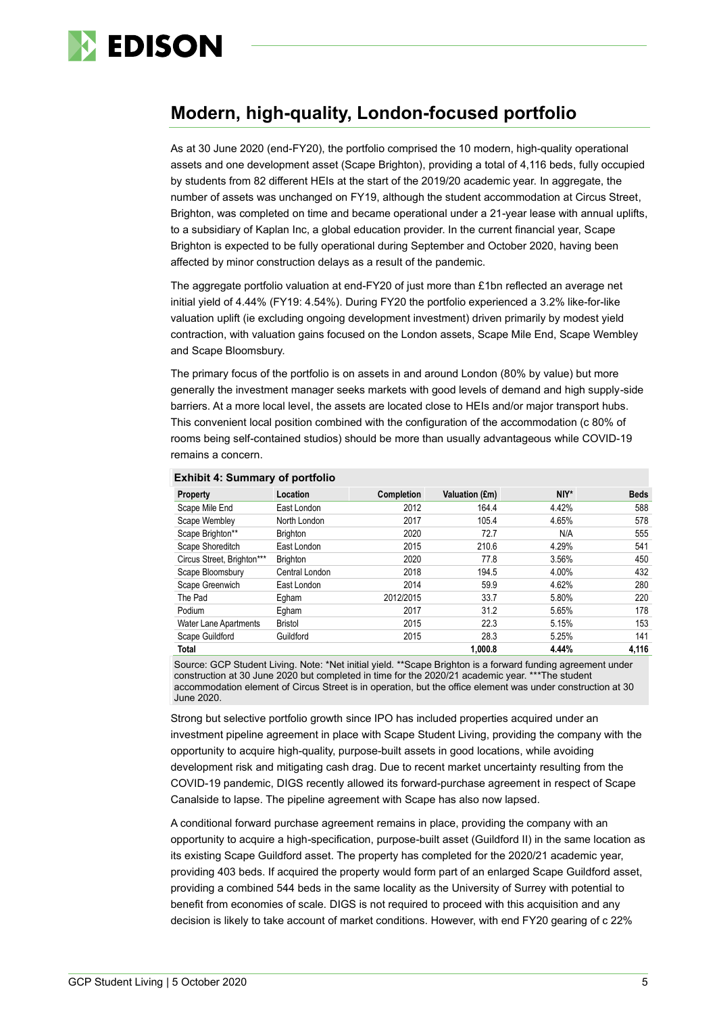

# **Modern, high-quality, London-focused portfolio**

As at 30 June 2020 (end-FY20), the portfolio comprised the 10 modern, high-quality operational assets and one development asset (Scape Brighton), providing a total of 4,116 beds, fully occupied by students from 82 different HEIs at the start of the 2019/20 academic year. In aggregate, the number of assets was unchanged on FY19, although the student accommodation at Circus Street, Brighton, was completed on time and became operational under a 21-year lease with annual uplifts, to a subsidiary of Kaplan Inc, a global education provider. In the current financial year, Scape Brighton is expected to be fully operational during September and October 2020, having been affected by minor construction delays as a result of the pandemic.

The aggregate portfolio valuation at end-FY20 of just more than £1bn reflected an average net initial yield of 4.44% (FY19: 4.54%). During FY20 the portfolio experienced a 3.2% like-for-like valuation uplift (ie excluding ongoing development investment) driven primarily by modest yield contraction, with valuation gains focused on the London assets, Scape Mile End, Scape Wembley and Scape Bloomsbury.

The primary focus of the portfolio is on assets in and around London (80% by value) but more generally the investment manager seeks markets with good levels of demand and high supply-side barriers. At a more local level, the assets are located close to HEIs and/or major transport hubs. This convenient local position combined with the configuration of the accommodation (c 80% of rooms being self-contained studios) should be more than usually advantageous while COVID-19 remains a concern.

| Property                     | Location        | Completion | Valuation (£m) | NIY*  | <b>Beds</b> |
|------------------------------|-----------------|------------|----------------|-------|-------------|
| Scape Mile End               | East London     | 2012       | 164.4          | 4.42% | 588         |
| Scape Wembley                | North London    | 2017       | 105.4          | 4.65% | 578         |
| Scape Brighton**             | <b>Brighton</b> | 2020       | 72.7           | N/A   | 555         |
| Scape Shoreditch             | East London     | 2015       | 210.6          | 4.29% | 541         |
| Circus Street, Brighton***   | <b>Brighton</b> | 2020       | 77.8           | 3.56% | 450         |
| Scape Bloomsbury             | Central London  | 2018       | 194.5          | 4.00% | 432         |
| Scape Greenwich              | East London     | 2014       | 59.9           | 4.62% | 280         |
| The Pad                      | Egham           | 2012/2015  | 33.7           | 5.80% | 220         |
| Podium                       | Egham           | 2017       | 31.2           | 5.65% | 178         |
| <b>Water Lane Apartments</b> | <b>Bristol</b>  | 2015       | 22.3           | 5.15% | 153         |
| Scape Guildford              | Guildford       | 2015       | 28.3           | 5.25% | 141         |
| Total                        |                 |            | 1.000.8        | 4.44% | 4.116       |

#### **Exhibit 4: Summary of portfolio**

Source: GCP Student Living. Note: \*Net initial yield. \*\*Scape Brighton is a forward funding agreement under construction at 30 June 2020 but completed in time for the 2020/21 academic year. \*\*\*The student accommodation element of Circus Street is in operation, but the office element was under construction at 30 June 2020.

Strong but selective portfolio growth since IPO has included properties acquired under an investment pipeline agreement in place with Scape Student Living, providing the company with the opportunity to acquire high-quality, purpose-built assets in good locations, while avoiding development risk and mitigating cash drag. Due to recent market uncertainty resulting from the COVID-19 pandemic, DIGS recently allowed its forward-purchase agreement in respect of Scape Canalside to lapse. The pipeline agreement with Scape has also now lapsed.

A conditional forward purchase agreement remains in place, providing the company with an opportunity to acquire a high-specification, purpose-built asset (Guildford II) in the same location as its existing Scape Guildford asset. The property has completed for the 2020/21 academic year, providing 403 beds. If acquired the property would form part of an enlarged Scape Guildford asset, providing a combined 544 beds in the same locality as the University of Surrey with potential to benefit from economies of scale. DIGS is not required to proceed with this acquisition and any decision is likely to take account of market conditions. However, with end FY20 gearing of c 22%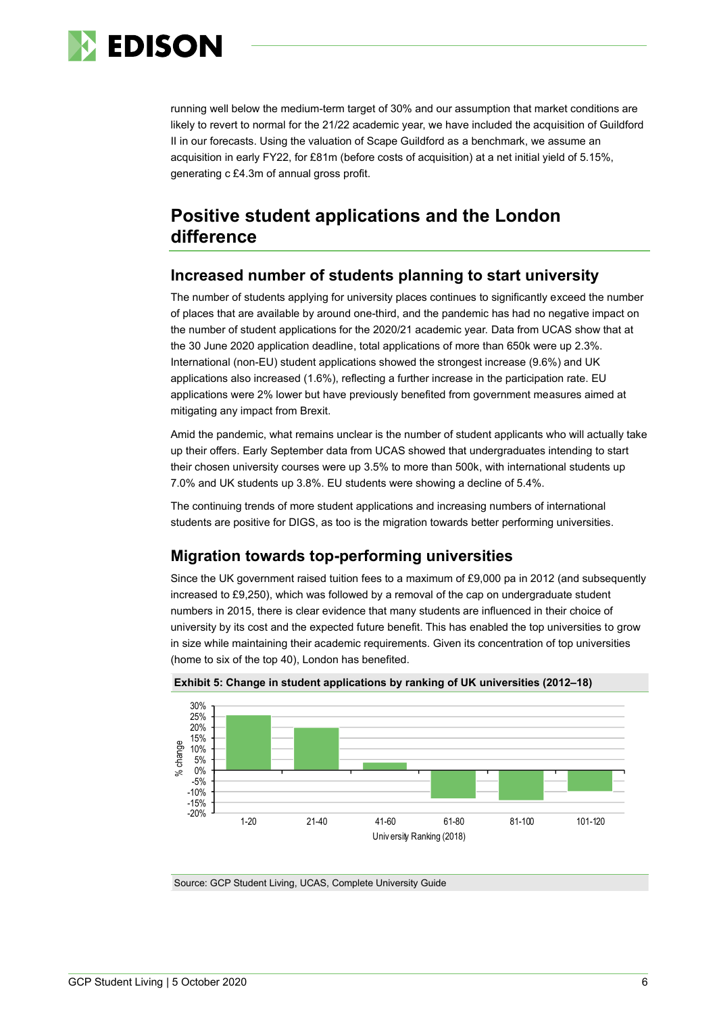

running well below the medium-term target of 30% and our assumption that market conditions are likely to revert to normal for the 21/22 academic year, we have included the acquisition of Guildford II in our forecasts. Using the valuation of Scape Guildford as a benchmark, we assume an acquisition in early FY22, for £81m (before costs of acquisition) at a net initial yield of 5.15%, generating c £4.3m of annual gross profit.

# **Positive student applications and the London difference**

### **Increased number of students planning to start university**

The number of students applying for university places continues to significantly exceed the number of places that are available by around one-third, and the pandemic has had no negative impact on the number of student applications for the 2020/21 academic year. Data from UCAS show that at the 30 June 2020 application deadline, total applications of more than 650k were up 2.3%. International (non-EU) student applications showed the strongest increase (9.6%) and UK applications also increased (1.6%), reflecting a further increase in the participation rate. EU applications were 2% lower but have previously benefited from government measures aimed at mitigating any impact from Brexit.

Amid the pandemic, what remains unclear is the number of student applicants who will actually take up their offers. Early September data from UCAS showed that undergraduates intending to start their chosen university courses were up 3.5% to more than 500k, with international students up 7.0% and UK students up 3.8%. EU students were showing a decline of 5.4%.

The continuing trends of more student applications and increasing numbers of international students are positive for DIGS, as too is the migration towards better performing universities.

# **Migration towards top-performing universities**

Since the UK government raised tuition fees to a maximum of £9,000 pa in 2012 (and subsequently increased to £9,250), which was followed by a removal of the cap on undergraduate student numbers in 2015, there is clear evidence that many students are influenced in their choice of university by its cost and the expected future benefit. This has enabled the top universities to grow in size while maintaining their academic requirements. Given its concentration of top universities (home to six of the top 40), London has benefited.





Source: GCP Student Living, UCAS, Complete University Guide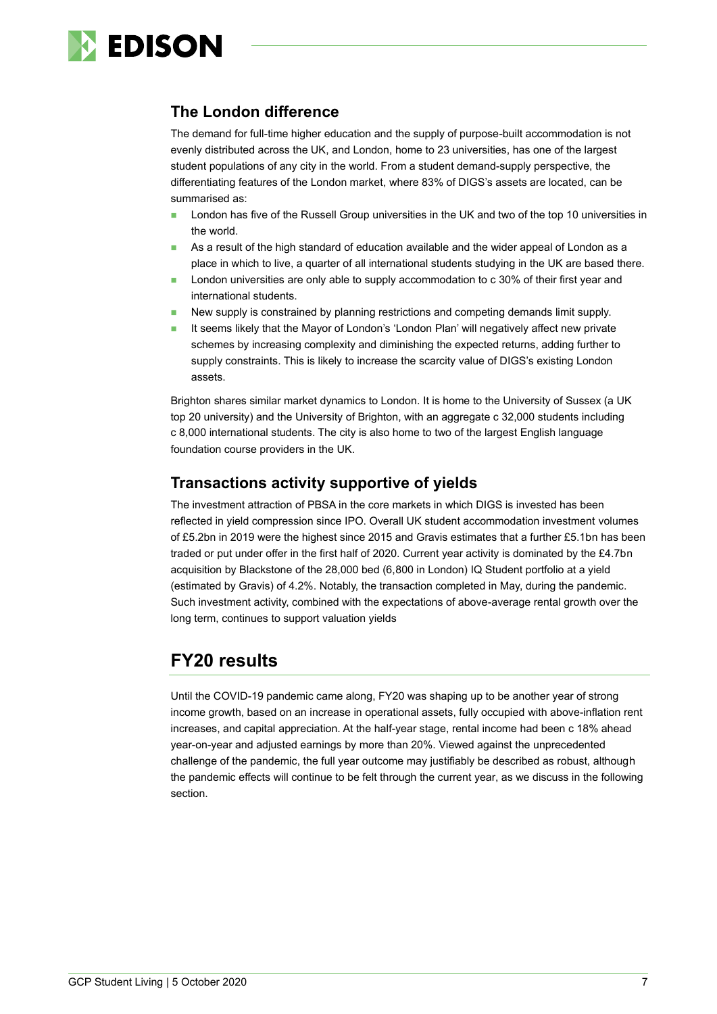

### **The London difference**

The demand for full-time higher education and the supply of purpose-built accommodation is not evenly distributed across the UK, and London, home to 23 universities, has one of the largest student populations of any city in the world. From a student demand-supply perspective, the differentiating features of the London market, where 83% of DIGS's assets are located, can be summarised as:

- London has five of the Russell Group universities in the UK and two of the top 10 universities in the world.
- As a result of the high standard of education available and the wider appeal of London as a place in which to live, a quarter of all international students studying in the UK are based there.
- London universities are only able to supply accommodation to c 30% of their first year and international students.
- New supply is constrained by planning restrictions and competing demands limit supply.
- It seems likely that the Mayor of London's 'London Plan' will negatively affect new private schemes by increasing complexity and diminishing the expected returns, adding further to supply constraints. This is likely to increase the scarcity value of DIGS's existing London assets.

Brighton shares similar market dynamics to London. It is home to the University of Sussex (a UK top 20 university) and the University of Brighton, with an aggregate c 32,000 students including c 8,000 international students. The city is also home to two of the largest English language foundation course providers in the UK.

# **Transactions activity supportive of yields**

The investment attraction of PBSA in the core markets in which DIGS is invested has been reflected in yield compression since IPO. Overall UK student accommodation investment volumes of £5.2bn in 2019 were the highest since 2015 and Gravis estimates that a further £5.1bn has been traded or put under offer in the first half of 2020. Current year activity is dominated by the £4.7bn acquisition by Blackstone of the 28,000 bed (6,800 in London) IQ Student portfolio at a yield (estimated by Gravis) of 4.2%. Notably, the transaction completed in May, during the pandemic. Such investment activity, combined with the expectations of above-average rental growth over the long term, continues to support valuation yields

# **FY20 results**

Until the COVID-19 pandemic came along, FY20 was shaping up to be another year of strong income growth, based on an increase in operational assets, fully occupied with above-inflation rent increases, and capital appreciation. At the half-year stage, rental income had been c 18% ahead year-on-year and adjusted earnings by more than 20%. Viewed against the unprecedented challenge of the pandemic, the full year outcome may justifiably be described as robust, although the pandemic effects will continue to be felt through the current year, as we discuss in the following section.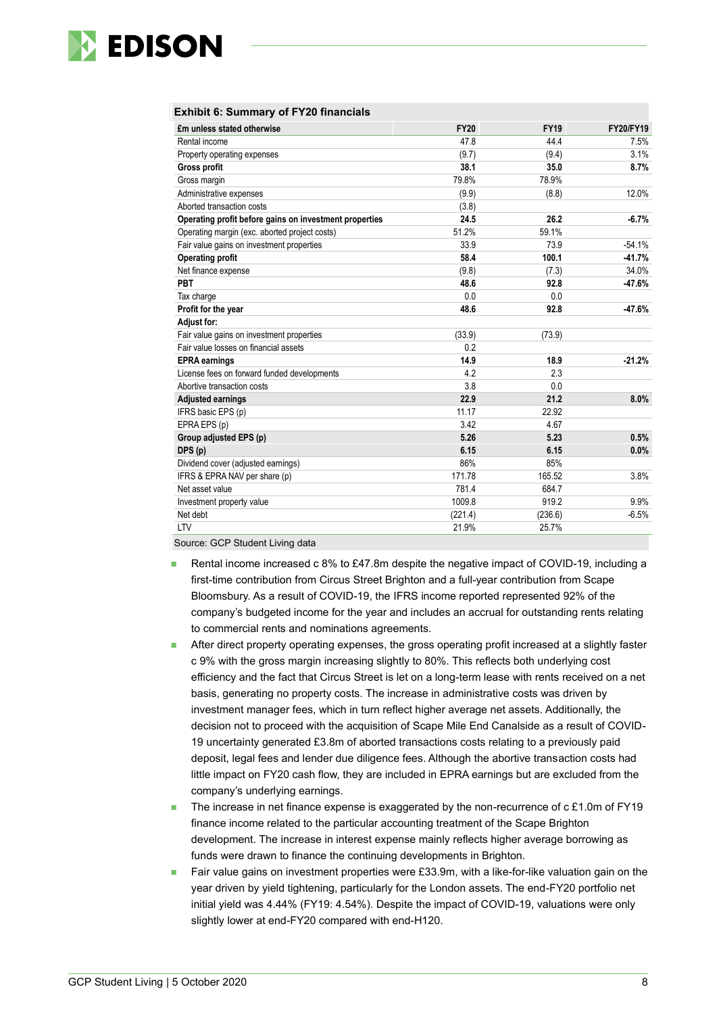

#### **Exhibit 6: Summary of FY20 financials**

| £m unless stated otherwise                             | <b>FY20</b> | <b>FY19</b> | <b>FY20/FY19</b> |
|--------------------------------------------------------|-------------|-------------|------------------|
| Rental income                                          | 47.8        | 44.4        | 7.5%             |
| Property operating expenses                            | (9.7)       | (9.4)       | 3.1%             |
| Gross profit                                           | 38.1        | 35.0        | 8.7%             |
| Gross margin                                           | 79.8%       | 78.9%       |                  |
| Administrative expenses                                | (9.9)       | (8.8)       | 12.0%            |
| Aborted transaction costs                              | (3.8)       |             |                  |
| Operating profit before gains on investment properties | 24.5        | 26.2        | $-6.7%$          |
| Operating margin (exc. aborted project costs)          | 51.2%       | 59.1%       |                  |
| Fair value gains on investment properties              | 33.9        | 73.9        | $-54.1%$         |
| <b>Operating profit</b>                                | 58.4        | 100.1       | $-41.7%$         |
| Net finance expense                                    | (9.8)       | (7.3)       | 34.0%            |
| PBT                                                    | 48.6        | 92.8        | $-47.6%$         |
| Tax charge                                             | 0.0         | 0.0         |                  |
| Profit for the year                                    | 48.6        | 92.8        | -47.6%           |
| <b>Adjust for:</b>                                     |             |             |                  |
| Fair value gains on investment properties              | (33.9)      | (73.9)      |                  |
| Fair value losses on financial assets                  | 0.2         |             |                  |
| <b>EPRA</b> earnings                                   | 14.9        | 18.9        | $-21.2%$         |
| License fees on forward funded developments            | 4.2         | 2.3         |                  |
| Abortive transaction costs                             | 3.8         | 0.0         |                  |
| <b>Adjusted earnings</b>                               | 22.9        | 21.2        | 8.0%             |
| IFRS basic EPS (p)                                     | 11.17       | 22.92       |                  |
| EPRA EPS (p)                                           | 3.42        | 4.67        |                  |
| Group adjusted EPS (p)                                 | 5.26        | 5.23        | 0.5%             |
| DPS (p)                                                | 6.15        | 6.15        | 0.0%             |
| Dividend cover (adjusted earnings)                     | 86%         | 85%         |                  |
| IFRS & EPRA NAV per share (p)                          | 171.78      | 165.52      | 3.8%             |
| Net asset value                                        | 781.4       | 684.7       |                  |
| Investment property value                              | 1009.8      | 919.2       | 9.9%             |
| Net debt                                               | (221.4)     | (236.6)     | $-6.5%$          |
| LTV                                                    | 21.9%       | 25.7%       |                  |

- Source: GCP Student Living data
- Rental income increased c 8% to £47.8m despite the negative impact of COVID-19, including a first-time contribution from Circus Street Brighton and a full-year contribution from Scape Bloomsbury. As a result of COVID-19, the IFRS income reported represented 92% of the company's budgeted income for the year and includes an accrual for outstanding rents relating to commercial rents and nominations agreements.
- After direct property operating expenses, the gross operating profit increased at a slightly faster c 9% with the gross margin increasing slightly to 80%. This reflects both underlying cost efficiency and the fact that Circus Street is let on a long-term lease with rents received on a net basis, generating no property costs. The increase in administrative costs was driven by investment manager fees, which in turn reflect higher average net assets. Additionally, the decision not to proceed with the acquisition of Scape Mile End Canalside as a result of COVID-19 uncertainty generated £3.8m of aborted transactions costs relating to a previously paid deposit, legal fees and lender due diligence fees. Although the abortive transaction costs had little impact on FY20 cash flow, they are included in EPRA earnings but are excluded from the company's underlying earnings.
- The increase in net finance expense is exaggerated by the non-recurrence of  $c \text{ £1.0m}$  of FY19 finance income related to the particular accounting treatment of the Scape Brighton development. The increase in interest expense mainly reflects higher average borrowing as funds were drawn to finance the continuing developments in Brighton.
- Fair value gains on investment properties were £33.9m, with a like-for-like valuation gain on the year driven by yield tightening, particularly for the London assets. The end-FY20 portfolio net initial yield was 4.44% (FY19: 4.54%). Despite the impact of COVID-19, valuations were only slightly lower at end-FY20 compared with end-H120.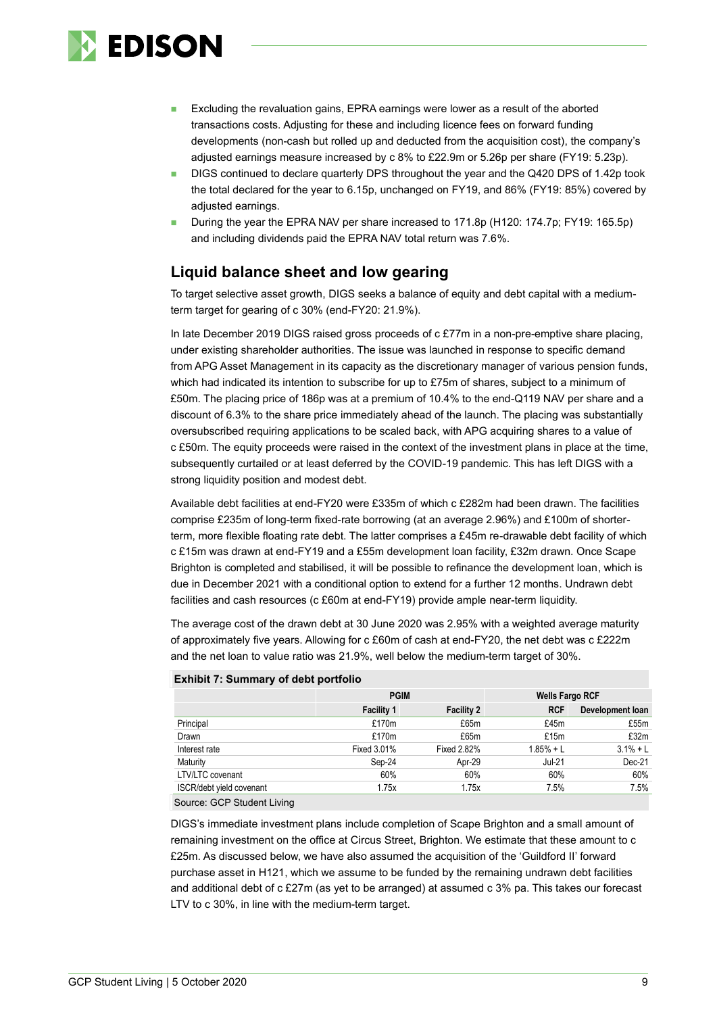

- Excluding the revaluation gains, EPRA earnings were lower as a result of the aborted transactions costs. Adjusting for these and including licence fees on forward funding developments (non-cash but rolled up and deducted from the acquisition cost), the company's adjusted earnings measure increased by c 8% to £22.9m or 5.26p per share (FY19: 5.23p).
- DIGS continued to declare quarterly DPS throughout the year and the Q420 DPS of 1.42p took the total declared for the year to 6.15p, unchanged on FY19, and 86% (FY19: 85%) covered by adiusted earnings.
- ◼ During the year the EPRA NAV per share increased to 171.8p (H120: 174.7p; FY19: 165.5p) and including dividends paid the EPRA NAV total return was 7.6%.

## **Liquid balance sheet and low gearing**

To target selective asset growth, DIGS seeks a balance of equity and debt capital with a mediumterm target for gearing of c 30% (end-FY20: 21.9%).

In late December 2019 DIGS raised gross proceeds of c £77m in a non-pre-emptive share placing, under existing shareholder authorities. The issue was launched in response to specific demand from APG Asset Management in its capacity as the discretionary manager of various pension funds, which had indicated its intention to subscribe for up to £75m of shares, subject to a minimum of £50m. The placing price of 186p was at a premium of 10.4% to the end-Q119 NAV per share and a discount of 6.3% to the share price immediately ahead of the launch. The placing was substantially oversubscribed requiring applications to be scaled back, with APG acquiring shares to a value of c £50m. The equity proceeds were raised in the context of the investment plans in place at the time, subsequently curtailed or at least deferred by the COVID-19 pandemic. This has left DIGS with a strong liquidity position and modest debt.

Available debt facilities at end-FY20 were £335m of which c £282m had been drawn. The facilities comprise £235m of long-term fixed-rate borrowing (at an average 2.96%) and £100m of shorterterm, more flexible floating rate debt. The latter comprises a £45m re-drawable debt facility of which c £15m was drawn at end-FY19 and a £55m development loan facility, £32m drawn. Once Scape Brighton is completed and stabilised, it will be possible to refinance the development loan, which is due in December 2021 with a conditional option to extend for a further 12 months. Undrawn debt facilities and cash resources (c £60m at end-FY19) provide ample near-term liquidity.

The average cost of the drawn debt at 30 June 2020 was 2.95% with a weighted average maturity of approximately five years. Allowing for c £60m of cash at end-FY20, the net debt was c £222m and the net loan to value ratio was 21.9%, well below the medium-term target of 30%.

|                          | <b>PGIM</b>        |                   | <b>Wells Fargo RCF</b> |                  |  |
|--------------------------|--------------------|-------------------|------------------------|------------------|--|
|                          | <b>Facility 1</b>  | <b>Facility 2</b> | <b>RCF</b>             | Development loan |  |
| Principal                | £170m              | £65m              | £45m                   | £55m             |  |
| Drawn                    | £170m              | £65m              | £15m                   | £32m             |  |
| Interest rate            | <b>Fixed 3.01%</b> | Fixed 2.82%       | $1.85% + L$            | $3.1% + L$       |  |
| Maturity                 | Sep-24             | Apr-29            | Jul-21                 | Dec-21           |  |
| LTV/LTC covenant         | 60%                | 60%               | 60%                    | 60%              |  |
| ISCR/debt yield covenant | 1.75x              | 1.75x             | 7.5%                   | 7.5%             |  |

#### **Exhibit 7: Summary of debt portfolio**

Source: GCP Student Living

DIGS's immediate investment plans include completion of Scape Brighton and a small amount of remaining investment on the office at Circus Street, Brighton. We estimate that these amount to c £25m. As discussed below, we have also assumed the acquisition of the 'Guildford II' forward purchase asset in H121, which we assume to be funded by the remaining undrawn debt facilities and additional debt of c £27m (as yet to be arranged) at assumed c 3% pa. This takes our forecast LTV to c 30%, in line with the medium-term target.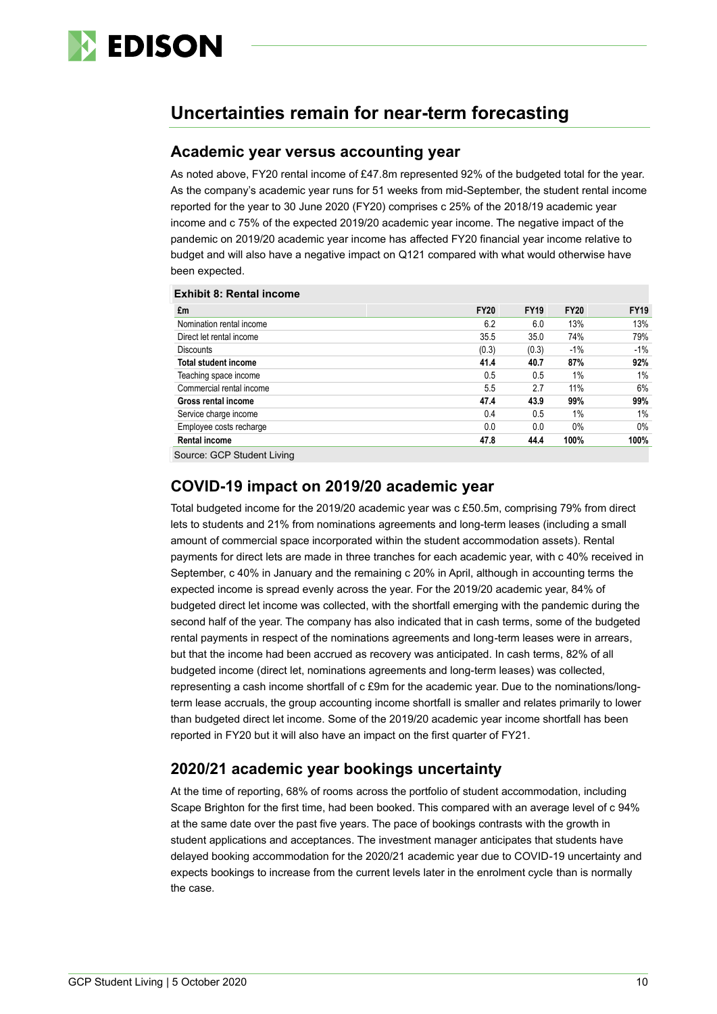

# **Uncertainties remain for near-term forecasting**

#### **Academic year versus accounting year**

As noted above, FY20 rental income of £47.8m represented 92% of the budgeted total for the year. As the company's academic year runs for 51 weeks from mid-September, the student rental income reported for the year to 30 June 2020 (FY20) comprises c 25% of the 2018/19 academic year income and c 75% of the expected 2019/20 academic year income. The negative impact of the pandemic on 2019/20 academic year income has affected FY20 financial year income relative to budget and will also have a negative impact on Q121 compared with what would otherwise have been expected.

| <b>Exhibit 8: Rental income</b> |             |             |             |             |
|---------------------------------|-------------|-------------|-------------|-------------|
| £m                              | <b>FY20</b> | <b>FY19</b> | <b>FY20</b> | <b>FY19</b> |
| Nomination rental income        | 6.2         | 6.0         | 13%         | 13%         |
| Direct let rental income        | 35.5        | 35.0        | 74%         | 79%         |
| <b>Discounts</b>                | (0.3)       | (0.3)       | $-1%$       | -1%         |
| <b>Total student income</b>     | 41.4        | 40.7        | 87%         | 92%         |
| Teaching space income           | 0.5         | 0.5         | $1\%$       | 1%          |
| Commercial rental income        | 5.5         | 2.7         | 11%         | 6%          |
| Gross rental income             | 47.4        | 43.9        | 99%         | 99%         |
| Service charge income           | 0.4         | 0.5         | $1\%$       | 1%          |
| Employee costs recharge         | 0.0         | 0.0         | $0\%$       | $0\%$       |
| <b>Rental income</b>            | 47.8        | 44.4        | 100%        | 100%        |
|                                 |             |             |             |             |

Source: GCP Student Living

#### **COVID-19 impact on 2019/20 academic year**

Total budgeted income for the 2019/20 academic year was c £50.5m, comprising 79% from direct lets to students and 21% from nominations agreements and long-term leases (including a small amount of commercial space incorporated within the student accommodation assets). Rental payments for direct lets are made in three tranches for each academic year, with c 40% received in September, c 40% in January and the remaining c 20% in April, although in accounting terms the expected income is spread evenly across the year. For the 2019/20 academic year, 84% of budgeted direct let income was collected, with the shortfall emerging with the pandemic during the second half of the year. The company has also indicated that in cash terms, some of the budgeted rental payments in respect of the nominations agreements and long-term leases were in arrears, but that the income had been accrued as recovery was anticipated. In cash terms, 82% of all budgeted income (direct let, nominations agreements and long-term leases) was collected, representing a cash income shortfall of c £9m for the academic year. Due to the nominations/longterm lease accruals, the group accounting income shortfall is smaller and relates primarily to lower than budgeted direct let income. Some of the 2019/20 academic year income shortfall has been reported in FY20 but it will also have an impact on the first quarter of FY21.

### **2020/21 academic year bookings uncertainty**

At the time of reporting, 68% of rooms across the portfolio of student accommodation, including Scape Brighton for the first time, had been booked. This compared with an average level of c 94% at the same date over the past five years. The pace of bookings contrasts with the growth in student applications and acceptances. The investment manager anticipates that students have delayed booking accommodation for the 2020/21 academic year due to COVID-19 uncertainty and expects bookings to increase from the current levels later in the enrolment cycle than is normally the case.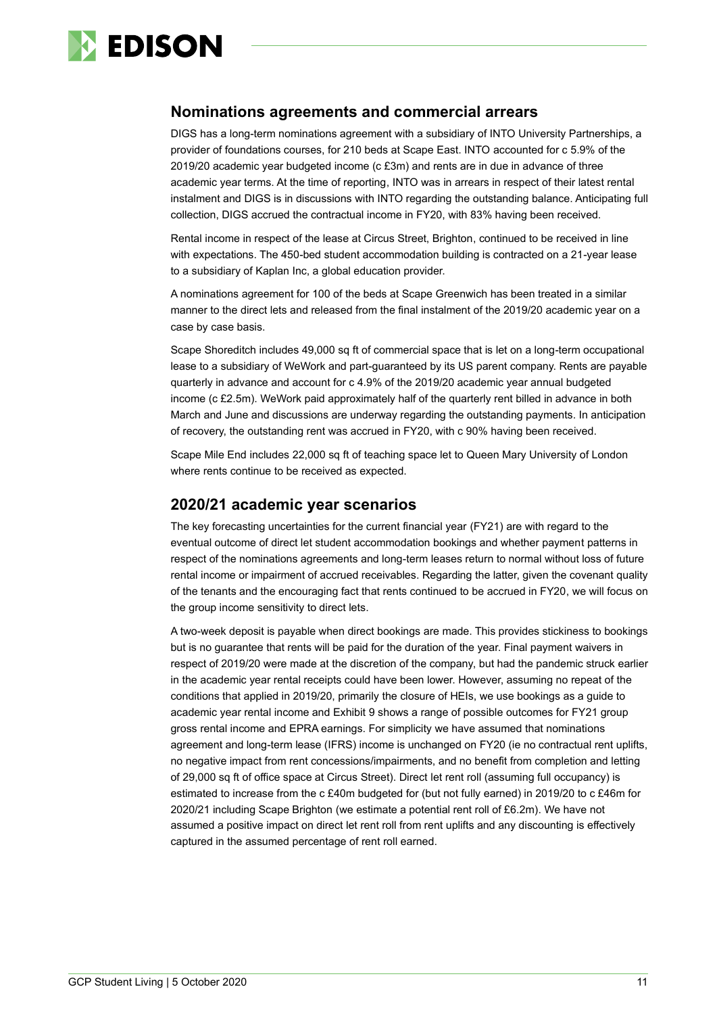

#### **Nominations agreements and commercial arrears**

DIGS has a long-term nominations agreement with a subsidiary of INTO University Partnerships, a provider of foundations courses, for 210 beds at Scape East. INTO accounted for c 5.9% of the 2019/20 academic year budgeted income (c £3m) and rents are in due in advance of three academic year terms. At the time of reporting, INTO was in arrears in respect of their latest rental instalment and DIGS is in discussions with INTO regarding the outstanding balance. Anticipating full collection, DIGS accrued the contractual income in FY20, with 83% having been received.

Rental income in respect of the lease at Circus Street, Brighton, continued to be received in line with expectations. The 450-bed student accommodation building is contracted on a 21-year lease to a subsidiary of Kaplan Inc, a global education provider.

A nominations agreement for 100 of the beds at Scape Greenwich has been treated in a similar manner to the direct lets and released from the final instalment of the 2019/20 academic year on a case by case basis.

Scape Shoreditch includes 49,000 sq ft of commercial space that is let on a long-term occupational lease to a subsidiary of WeWork and part-guaranteed by its US parent company. Rents are payable quarterly in advance and account for c 4.9% of the 2019/20 academic year annual budgeted income (c £2.5m). WeWork paid approximately half of the quarterly rent billed in advance in both March and June and discussions are underway regarding the outstanding payments. In anticipation of recovery, the outstanding rent was accrued in FY20, with c 90% having been received.

Scape Mile End includes 22,000 sq ft of teaching space let to Queen Mary University of London where rents continue to be received as expected.

#### **2020/21 academic year scenarios**

The key forecasting uncertainties for the current financial year (FY21) are with regard to the eventual outcome of direct let student accommodation bookings and whether payment patterns in respect of the nominations agreements and long-term leases return to normal without loss of future rental income or impairment of accrued receivables. Regarding the latter, given the covenant quality of the tenants and the encouraging fact that rents continued to be accrued in FY20, we will focus on the group income sensitivity to direct lets.

A two-week deposit is payable when direct bookings are made. This provides stickiness to bookings but is no guarantee that rents will be paid for the duration of the year. Final payment waivers in respect of 2019/20 were made at the discretion of the company, but had the pandemic struck earlier in the academic year rental receipts could have been lower. However, assuming no repeat of the conditions that applied in 2019/20, primarily the closure of HEIs, we use bookings as a guide to academic year rental income and Exhibit 9 shows a range of possible outcomes for FY21 group gross rental income and EPRA earnings. For simplicity we have assumed that nominations agreement and long-term lease (IFRS) income is unchanged on FY20 (ie no contractual rent uplifts, no negative impact from rent concessions/impairments, and no benefit from completion and letting of 29,000 sq ft of office space at Circus Street). Direct let rent roll (assuming full occupancy) is estimated to increase from the c £40m budgeted for (but not fully earned) in 2019/20 to c £46m for 2020/21 including Scape Brighton (we estimate a potential rent roll of £6.2m). We have not assumed a positive impact on direct let rent roll from rent uplifts and any discounting is effectively captured in the assumed percentage of rent roll earned.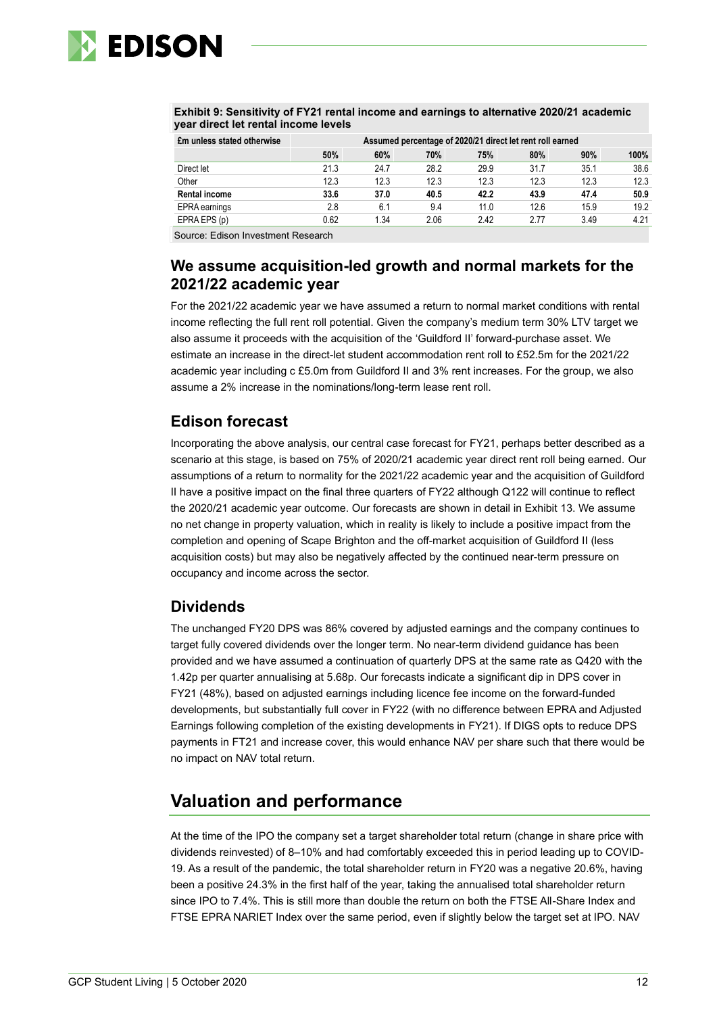

| year direct let rental income levels |                                                           |      |      |      |      |      |      |  |
|--------------------------------------|-----------------------------------------------------------|------|------|------|------|------|------|--|
| £m unless stated otherwise           | Assumed percentage of 2020/21 direct let rent roll earned |      |      |      |      |      |      |  |
|                                      | 50%                                                       | 60%  | 70%  | 75%  | 80%  | 90%  | 100% |  |
| Direct let                           | 21.3                                                      | 24.7 | 28.2 | 29.9 | 31.7 | 35.1 | 38.6 |  |
| Other                                | 12.3                                                      | 12.3 | 12.3 | 12.3 | 12.3 | 12.3 | 12.3 |  |
| <b>Rental income</b>                 | 33.6                                                      | 37.0 | 40.5 | 42.2 | 43.9 | 47.4 | 50.9 |  |
| EPRA earnings                        | 2.8                                                       | 6.1  | 9.4  | 11.0 | 12.6 | 15.9 | 19.2 |  |
| EPRA EPS (p)                         | 0.62                                                      | 1.34 | 2.06 | 2.42 | 2.77 | 3.49 | 4.21 |  |

**Exhibit 9: Sensitivity of FY21 rental income and earnings to alternative 2020/21 academic year direct let rental income levels**

Source: Edison Investment Research

# **We assume acquisition-led growth and normal markets for the 2021/22 academic year**

For the 2021/22 academic year we have assumed a return to normal market conditions with rental income reflecting the full rent roll potential. Given the company's medium term 30% LTV target we also assume it proceeds with the acquisition of the 'Guildford II' forward-purchase asset. We estimate an increase in the direct-let student accommodation rent roll to £52.5m for the 2021/22 academic year including c £5.0m from Guildford II and 3% rent increases. For the group, we also assume a 2% increase in the nominations/long-term lease rent roll.

# **Edison forecast**

Incorporating the above analysis, our central case forecast for FY21, perhaps better described as a scenario at this stage, is based on 75% of 2020/21 academic year direct rent roll being earned. Our assumptions of a return to normality for the 2021/22 academic year and the acquisition of Guildford II have a positive impact on the final three quarters of FY22 although Q122 will continue to reflect the 2020/21 academic year outcome. Our forecasts are shown in detail in Exhibit 13. We assume no net change in property valuation, which in reality is likely to include a positive impact from the completion and opening of Scape Brighton and the off-market acquisition of Guildford II (less acquisition costs) but may also be negatively affected by the continued near-term pressure on occupancy and income across the sector.

### **Dividends**

The unchanged FY20 DPS was 86% covered by adjusted earnings and the company continues to target fully covered dividends over the longer term. No near-term dividend guidance has been provided and we have assumed a continuation of quarterly DPS at the same rate as Q420 with the 1.42p per quarter annualising at 5.68p. Our forecasts indicate a significant dip in DPS cover in FY21 (48%), based on adjusted earnings including licence fee income on the forward-funded developments, but substantially full cover in FY22 (with no difference between EPRA and Adjusted Earnings following completion of the existing developments in FY21). If DIGS opts to reduce DPS payments in FT21 and increase cover, this would enhance NAV per share such that there would be no impact on NAV total return.

# **Valuation and performance**

At the time of the IPO the company set a target shareholder total return (change in share price with dividends reinvested) of 8–10% and had comfortably exceeded this in period leading up to COVID-19. As a result of the pandemic, the total shareholder return in FY20 was a negative 20.6%, having been a positive 24.3% in the first half of the year, taking the annualised total shareholder return since IPO to 7.4%. This is still more than double the return on both the FTSE All-Share Index and FTSE EPRA NARIET Index over the same period, even if slightly below the target set at IPO. NAV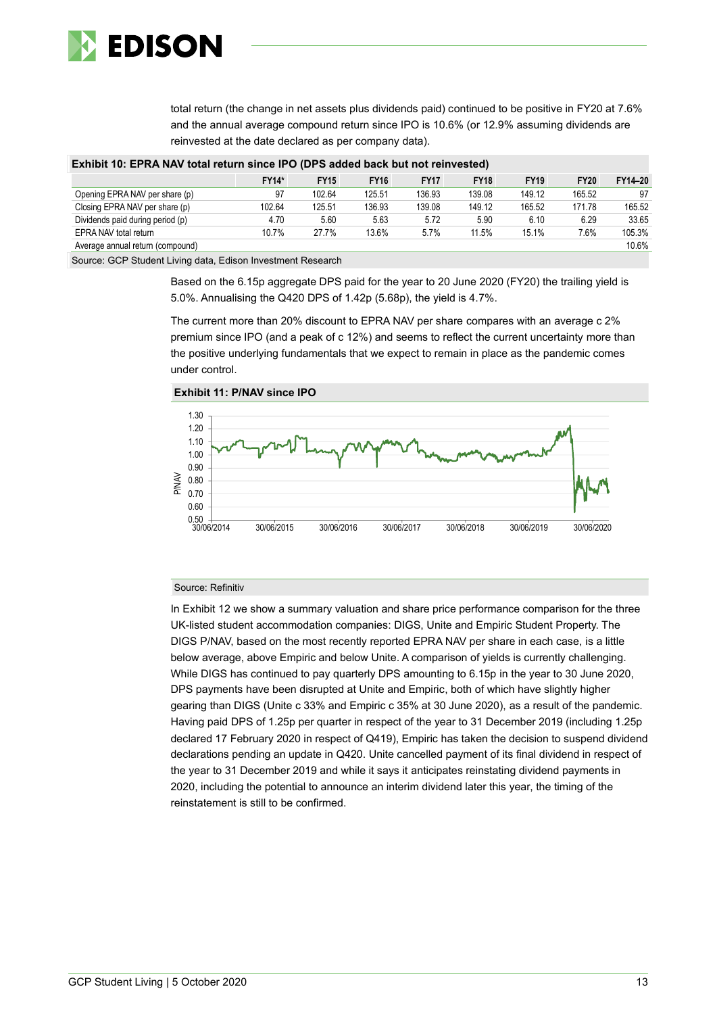

total return (the change in net assets plus dividends paid) continued to be positive in FY20 at 7.6% and the annual average compound return since IPO is 10.6% (or 12.9% assuming dividends are reinvested at the date declared as per company data).

| Exhibit 10: EPRA NAV total return since IPO (DPS added back but not reinvested)                                                                                                                                                                                                                                                                                                                                                                                                       |              |             |             |             |             |             |             |         |  |
|---------------------------------------------------------------------------------------------------------------------------------------------------------------------------------------------------------------------------------------------------------------------------------------------------------------------------------------------------------------------------------------------------------------------------------------------------------------------------------------|--------------|-------------|-------------|-------------|-------------|-------------|-------------|---------|--|
|                                                                                                                                                                                                                                                                                                                                                                                                                                                                                       | <b>FY14*</b> | <b>FY15</b> | <b>FY16</b> | <b>FY17</b> | <b>FY18</b> | <b>FY19</b> | <b>FY20</b> | FY14-20 |  |
| Opening EPRA NAV per share (p)                                                                                                                                                                                                                                                                                                                                                                                                                                                        | 97           | 102.64      | 125.51      | 136.93      | 139.08      | 149.12      | 165.52      | 97      |  |
| Closing EPRA NAV per share (p)                                                                                                                                                                                                                                                                                                                                                                                                                                                        | 102.64       | 125.51      | 136.93      | 139.08      | 149.12      | 165.52      | 171.78      | 165.52  |  |
| Dividends paid during period (p)                                                                                                                                                                                                                                                                                                                                                                                                                                                      | 4.70         | 5.60        | 5.63        | 5.72        | 5.90        | 6.10        | 6.29        | 33.65   |  |
| EPRA NAV total return                                                                                                                                                                                                                                                                                                                                                                                                                                                                 | 10.7%        | 27.7%       | 13.6%       | 5.7%        | 11.5%       | 15.1%       | 7.6%        | 105.3%  |  |
| Average annual return (compound)                                                                                                                                                                                                                                                                                                                                                                                                                                                      |              |             |             |             |             |             |             | 10.6%   |  |
| $\begin{array}{ccccccccccccccccc} \multicolumn{4}{c }{\textbf{A}} & \multicolumn{4}{c }{\textbf{A}} & \multicolumn{4}{c }{\textbf{A}} & \multicolumn{4}{c }{\textbf{A}} & \multicolumn{4}{c }{\textbf{A}} & \multicolumn{4}{c }{\textbf{A}} & \multicolumn{4}{c }{\textbf{A}} & \multicolumn{4}{c }{\textbf{A}} & \multicolumn{4}{c }{\textbf{A}} & \multicolumn{4}{c }{\textbf{A}} & \multicolumn{4}{c }{\textbf{A}} & \multicolumn{4}{c }{\textbf{A}} & \multicolumn{$<br>$ -$<br>. |              |             |             |             |             |             |             |         |  |

**Exhibit 10: EPRA NAV total return since IPO (DPS added back but not reinvested)**

Source: GCP Student Living data, Edison Investment Research

Based on the 6.15p aggregate DPS paid for the year to 20 June 2020 (FY20) the trailing yield is 5.0%. Annualising the Q420 DPS of 1.42p (5.68p), the yield is 4.7%.

The current more than 20% discount to EPRA NAV per share compares with an average c 2% premium since IPO (and a peak of c 12%) and seems to reflect the current uncertainty more than the positive underlying fundamentals that we expect to remain in place as the pandemic comes under control.



**Exhibit 11: P/NAV since IPO**

#### Source: Refinitiv

In Exhibit 12 we show a summary valuation and share price performance comparison for the three UK-listed student accommodation companies: DIGS, Unite and Empiric Student Property. The DIGS P/NAV, based on the most recently reported EPRA NAV per share in each case, is a little below average, above Empiric and below Unite. A comparison of yields is currently challenging. While DIGS has continued to pay quarterly DPS amounting to 6.15p in the year to 30 June 2020, DPS payments have been disrupted at Unite and Empiric, both of which have slightly higher gearing than DIGS (Unite c 33% and Empiric c 35% at 30 June 2020), as a result of the pandemic. Having paid DPS of 1.25p per quarter in respect of the year to 31 December 2019 (including 1.25p declared 17 February 2020 in respect of Q419), Empiric has taken the decision to suspend dividend declarations pending an update in Q420. Unite cancelled payment of its final dividend in respect of the year to 31 December 2019 and while it says it anticipates reinstating dividend payments in 2020, including the potential to announce an interim dividend later this year, the timing of the reinstatement is still to be confirmed.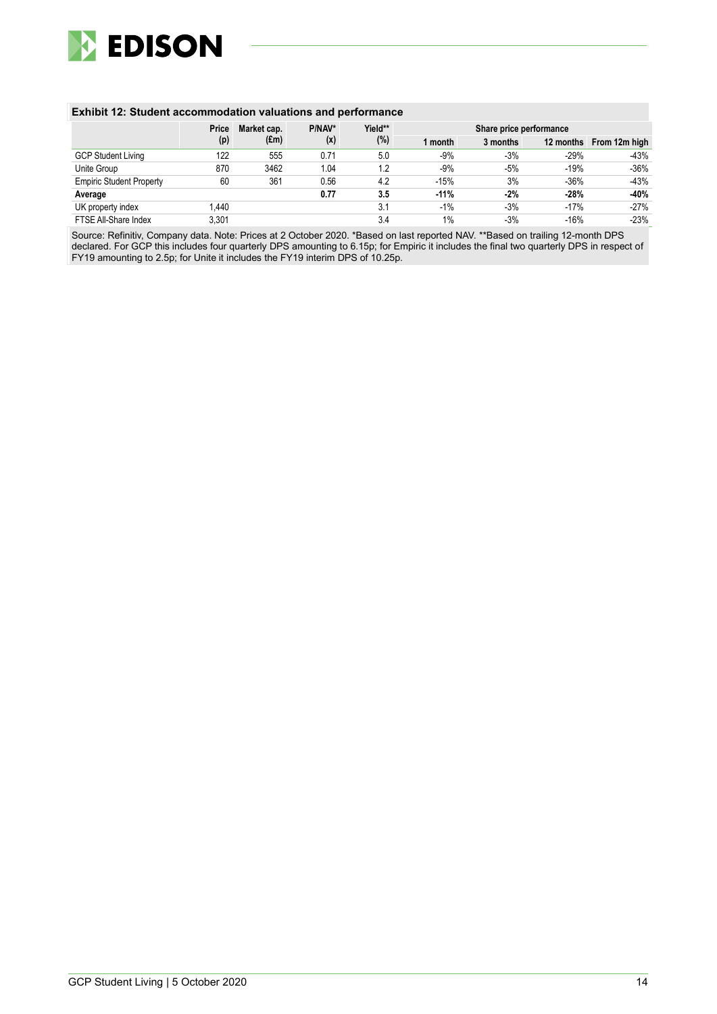

#### **Exhibit 12: Student accommodation valuations and performance**

|                                 | Price | Market cap. | P/NAV*<br>Yield** |     | Share price performance |          |        |                         |  |
|---------------------------------|-------|-------------|-------------------|-----|-------------------------|----------|--------|-------------------------|--|
|                                 | (p)   | (£m)        | (x)               | (%) | 1 month                 | 3 months |        | 12 months From 12m high |  |
| <b>GCP Student Living</b>       | 122   | 555         | 0.71              | 5.0 | $-9%$                   | $-3%$    | $-29%$ | $-43%$                  |  |
| Unite Group                     | 870   | 3462        | 1.04              | 1.2 | $-9%$                   | $-5%$    | $-19%$ | $-36%$                  |  |
| <b>Empiric Student Property</b> | 60    | 361         | 0.56              | 4.2 | $-15%$                  | 3%       | $-36%$ | $-43%$                  |  |
| Average                         |       |             | 0.77              | 3.5 | $-11%$                  | $-2%$    | $-28%$ | $-40%$                  |  |
| UK property index               | .440  |             |                   | 3.1 | $-1%$                   | $-3%$    | $-17%$ | $-27%$                  |  |
| FTSE All-Share Index            | 3,301 |             |                   | 3.4 | 1%                      | $-3%$    | $-16%$ | $-23%$                  |  |

Source: Refinitiv, Company data. Note: Prices at 2 October 2020. \*Based on last reported NAV. \*\*Based on trailing 12-month DPS declared. For GCP this includes four quarterly DPS amounting to 6.15p; for Empiric it includes the final two quarterly DPS in respect of FY19 amounting to 2.5p; for Unite it includes the FY19 interim DPS of 10.25p.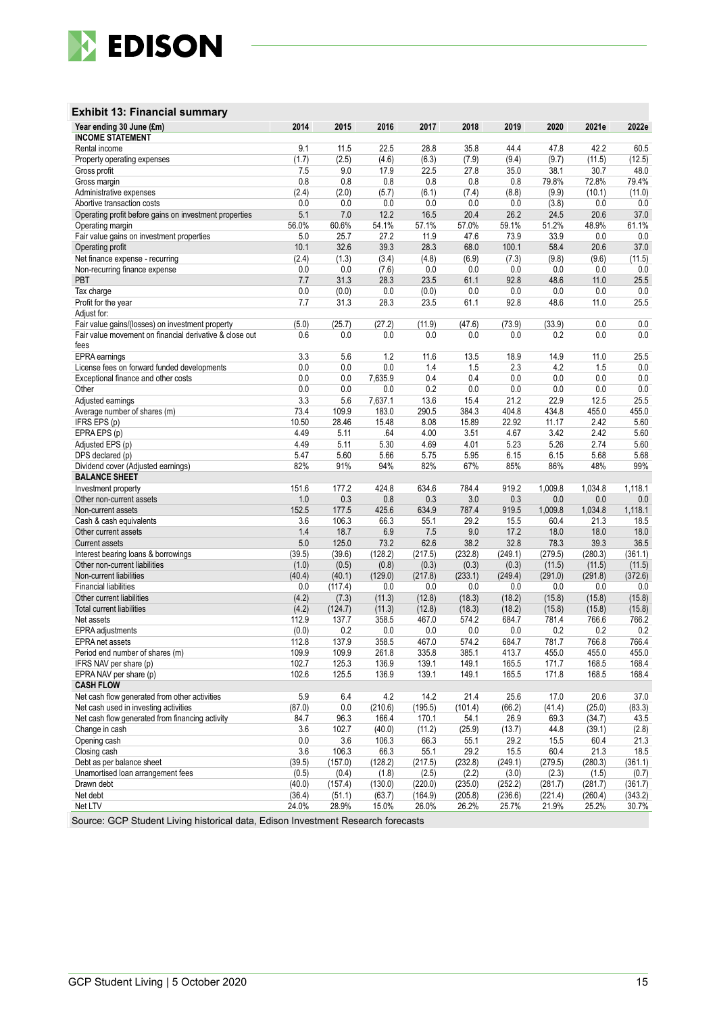

#### **Exhibit 13: Financial summary**

| Year ending 30 June (£m)                                | 2014           | 2015         | 2016          | 2017          | 2018          | 2019          | 2020          | 2021e        | 2022e        |
|---------------------------------------------------------|----------------|--------------|---------------|---------------|---------------|---------------|---------------|--------------|--------------|
| <b>INCOME STATEMENT</b>                                 |                |              |               |               |               |               |               |              |              |
| Rental income                                           | 9.1            | 11.5         | 22.5          | 28.8          | 35.8          | 44.4          | 47.8          | 42.2         | 60.5         |
| Property operating expenses                             | (1.7)          | (2.5)        | (4.6)         | (6.3)         | (7.9)         | (9.4)         | (9.7)         | (11.5)       | (12.5)       |
| Gross profit                                            | 7.5            | 9.0          | 17.9          | 22.5          | 27.8          | 35.0          | 38.1          | 30.7         | 48.0         |
| Gross margin                                            | 0.8            | 0.8          | 0.8           | 0.8           | 0.8           | 0.8           | 79.8%         | 72.8%        | 79.4%        |
| Administrative expenses                                 | (2.4)          | (2.0)        | (5.7)         | (6.1)         | (7.4)         | (8.8)         | (9.9)         | (10.1)       | (11.0)       |
| Abortive transaction costs                              | 0.0            | 0.0          | 0.0           | 0.0           | 0.0           | 0.0           | (3.8)         | 0.0          | 0.0          |
| Operating profit before gains on investment properties  | 5.1            | 7.0          | 12.2          | 16.5          | 20.4          | 26.2          | 24.5          | 20.6         | 37.0         |
| Operating margin                                        | 56.0%          | 60.6%        | 54.1%<br>27.2 | 57.1%<br>11.9 | 57.0%<br>47.6 | 59.1%         | 51.2%<br>33.9 | 48.9%        | 61.1%        |
| Fair value gains on investment properties               | 5.0<br>10.1    | 25.7<br>32.6 | 39.3          | 28.3          | 68.0          | 73.9<br>100.1 | 58.4          | 0.0<br>20.6  | 0.0<br>37.0  |
| Operating profit<br>Net finance expense - recurring     | (2.4)          | (1.3)        | (3.4)         | (4.8)         | (6.9)         | (7.3)         | (9.8)         | (9.6)        | (11.5)       |
| Non-recurring finance expense                           | 0.0            | 0.0          | (7.6)         | 0.0           | 0.0           | 0.0           | 0.0           | 0.0          | $0.0\,$      |
| PBT                                                     | 7.7            | 31.3         | 28.3          | 23.5          | 61.1          | 92.8          | 48.6          | 11.0         | 25.5         |
| Tax charge                                              | 0.0            | (0.0)        | 0.0           | (0.0)         | 0.0           | 0.0           | 0.0           | 0.0          | $0.0\,$      |
| Profit for the year                                     | 7.7            | 31.3         | 28.3          | 23.5          | 61.1          | 92.8          | 48.6          | 11.0         | 25.5         |
| Adjust for:                                             |                |              |               |               |               |               |               |              |              |
| Fair value gains/(losses) on investment property        | (5.0)          | (25.7)       | (27.2)        | (11.9)        | (47.6)        | (73.9)        | (33.9)        | 0.0          | 0.0          |
| Fair value movement on financial derivative & close out | 0.6            | 0.0          | 0.0           | 0.0           | 0.0           | 0.0           | 0.2           | 0.0          | 0.0          |
| fees                                                    |                |              |               |               |               |               |               |              |              |
| EPRA earnings                                           | 3.3            | 5.6          | 1.2           | 11.6          | 13.5          | 18.9          | 14.9          | 11.0         | 25.5         |
| License fees on forward funded developments             | 0.0            | 0.0          | 0.0           | 1.4           | 1.5           | 2.3           | 4.2           | 1.5          | 0.0          |
| Exceptional finance and other costs                     | 0.0            | 0.0          | 7,635.9       | 0.4           | 0.4           | 0.0           | 0.0           | 0.0          | $0.0\,$      |
| Other                                                   | 0.0            | 0.0          | 0.0           | 0.2           | 0.0           | 0.0           | 0.0           | 0.0          | $0.0\,$      |
| Adjusted earnings                                       | 3.3            | 5.6          | 7,637.1       | 13.6          | 15.4          | 21.2          | 22.9          | 12.5         | 25.5         |
| Average number of shares (m)                            | 73.4           | 109.9        | 183.0         | 290.5         | 384.3         | 404.8         | 434.8         | 455.0        | 455.0        |
| IFRS EPS (p)                                            | 10.50          | 28.46        | 15.48         | 8.08          | 15.89         | 22.92         | 11.17         | 2.42         | 5.60         |
| EPRA EPS (p)                                            | 4.49           | 5.11         | .64           | 4.00          | 3.51          | 4.67          | 3.42          | 2.42         | 5.60         |
| Adjusted EPS (p)                                        | 4.49           | 5.11         | 5.30          | 4.69          | 4.01          | 5.23          | 5.26          | 2.74         | 5.60         |
| DPS declared (p)                                        | 5.47           | 5.60         | 5.66          | 5.75          | 5.95          | 6.15          | 6.15          | 5.68         | 5.68         |
| Dividend cover (Adjusted earnings)                      | 82%            | 91%          | 94%           | 82%           | 67%           | 85%           | 86%           | 48%          | 99%          |
| <b>BALANCE SHEET</b>                                    |                |              |               |               |               |               |               |              |              |
| Investment property                                     | 151.6          | 177.2        | 424.8         | 634.6         | 784.4         | 919.2         | 1,009.8       | 1,034.8      | 1,118.1      |
| Other non-current assets                                | 1.0            | 0.3          | 0.8           | 0.3           | $3.0\,$       | 0.3           | 0.0           | 0.0          | 0.0          |
| Non-current assets                                      | 152.5          | 177.5        | 425.6         | 634.9         | 787.4         | 919.5         | 1,009.8       | 1,034.8      | 1,118.1      |
| Cash & cash equivalents                                 | 3.6            | 106.3        | 66.3          | 55.1          | 29.2          | 15.5          | 60.4          | 21.3         | 18.5         |
| Other current assets                                    | 1.4            | 18.7         | 6.9           | 7.5           | 9.0           | 17.2          | 18.0          | 18.0         | 18.0         |
| <b>Current assets</b>                                   | 5.0            | 125.0        | 73.2          | 62.6          | 38.2          | 32.8          | 78.3          | 39.3         | 36.5         |
| Interest bearing loans & borrowings                     | (39.5)         | (39.6)       | (128.2)       | (217.5)       | (232.8)       | (249.1)       | (279.5)       | (280.3)      | (361.1)      |
| Other non-current liabilities                           | (1.0)          | (0.5)        | (0.8)         | (0.3)         | (0.3)         | (0.3)         | (11.5)        | (11.5)       | (11.5)       |
| Non-current liabilities                                 | (40.4)         | (40.1)       | (129.0)       | (217.8)       | (233.1)       | (249.4)       | (291.0)       | (291.8)      | (372.6)      |
| <b>Financial liabilities</b>                            | 0.0            | (117.4)      | 0.0           | 0.0           | 0.0           | 0.0           | 0.0           | 0.0          | 0.0          |
| Other current liabilities                               | (4.2)          | (7.3)        | (11.3)        | (12.8)        | (18.3)        | (18.2)        | (15.8)        | (15.8)       | (15.8)       |
| Total current liabilities                               | (4.2)          | (124.7)      | (11.3)        | (12.8)        | (18.3)        | (18.2)        | (15.8)        | (15.8)       | (15.8)       |
| Net assets                                              | 112.9          | 137.7        | 358.5         | 467.0         | 574.2         | 684.7         | 781.4         | 766.6        | 766.2        |
| EPRA adjustments<br><b>EPRA</b> net assets              | (0.0)<br>112.8 | 0.2<br>137.9 | 0.0<br>358.5  | 0.0<br>467.0  | 0.0<br>574.2  | 0.0<br>684.7  | 0.2<br>781.7  | 0.2<br>766.8 | 0.2<br>766.4 |
| Period end number of shares (m)                         | 109.9          | 109.9        | 261.8         | 335.8         | 385.1         | 413.7         | 455.0         | 455.0        | 455.0        |
| IFRS NAV per share (p)                                  | 102.7          | 125.3        | 136.9         | 139.1         | 149.1         | 165.5         | 171.7         | 168.5        | 168.4        |
| EPRA NAV per share (p)                                  | 102.6          | 125.5        | 136.9         | 139.1         | 149.1         | 165.5         | 171.8         | 168.5        | 168.4        |
| <b>CASH FLOW</b>                                        |                |              |               |               |               |               |               |              |              |
| Net cash flow generated from other activities           | 5.9            | 6.4          | 4.2           | 14.2          | 21.4          | 25.6          | 17.0          | 20.6         | 37.0         |
| Net cash used in investing activities                   | (87.0)         | 0.0          | (210.6)       | (195.5)       | (101.4)       | (66.2)        | (41.4)        | (25.0)       | (83.3)       |
| Net cash flow generated from financing activity         | 84.7           | 96.3         | 166.4         | 170.1         | 54.1          | 26.9          | 69.3          | (34.7)       | 43.5         |
| Change in cash                                          | 3.6            | 102.7        | (40.0)        | (11.2)        | (25.9)        | (13.7)        | 44.8          | (39.1)       | (2.8)        |
| Opening cash                                            | 0.0            | 3.6          | 106.3         | 66.3          | 55.1          | 29.2          | 15.5          | 60.4         | 21.3         |
| Closing cash                                            | 3.6            | 106.3        | 66.3          | 55.1          | 29.2          | 15.5          | 60.4          | 21.3         | 18.5         |
| Debt as per balance sheet                               | (39.5)         | (157.0)      | (128.2)       | (217.5)       | (232.8)       | (249.1)       | (279.5)       | (280.3)      | (361.1)      |
| Unamortised Ioan arrangement fees                       | (0.5)          | (0.4)        | (1.8)         | (2.5)         | (2.2)         | (3.0)         | (2.3)         | (1.5)        | (0.7)        |
| Drawn debt                                              | (40.0)         | (157.4)      | (130.0)       | (220.0)       | (235.0)       | (252.2)       | (281.7)       | (281.7)      | (361.7)      |
| Net debt                                                | (36.4)         | (51.1)       | (63.7)        | (164.9)       | (205.8)       | (236.6)       | (221.4)       | (260.4)      | (343.2)      |
| Net LTV                                                 | 24.0%          | 28.9%        | 15.0%         | 26.0%         | 26.2%         | 25.7%         | 21.9%         | 25.2%        | 30.7%        |
|                                                         |                |              |               |               |               |               |               |              |              |

Source: GCP Student Living historical data, Edison Investment Research forecasts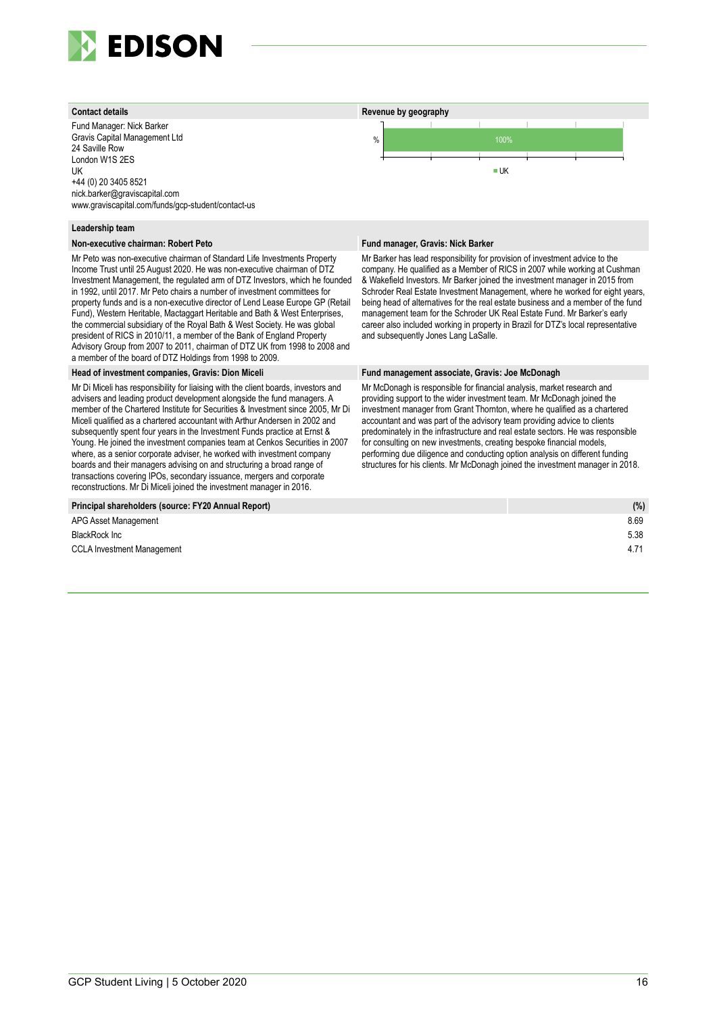

Fund Manager: Nick Barker Gravis Capital Management Ltd 24 Saville Row London W1S 2ES UK +44 (0) 20 3405 8521 nick.barker@graviscapital.com www.graviscapital.com/funds/gcp-student/contact-us

#### **Leadership team**

#### **Non-executive chairman: Robert Peto Fund manager, Gravis: Nick Barker**

Mr Peto was non-executive chairman of Standard Life Investments Property Income Trust until 25 August 2020. He was non-executive chairman of DTZ Investment Management, the regulated arm of DTZ Investors, which he founded in 1992, until 2017. Mr Peto chairs a number of investment committees for property funds and is a non-executive director of Lend Lease Europe GP (Retail Fund), Western Heritable, Mactaggart Heritable and Bath & West Enterprises, the commercial subsidiary of the Royal Bath & West Society. He was global president of RICS in 2010/11, a member of the Bank of England Property Advisory Group from 2007 to 2011, chairman of DTZ UK from 1998 to 2008 and a member of the board of DTZ Holdings from 1998 to 2009.

Mr Di Miceli has responsibility for liaising with the client boards, investors and advisers and leading product development alongside the fund managers. A member of the Chartered Institute for Securities & Investment since 2005, Mr Di Miceli qualified as a chartered accountant with Arthur Andersen in 2002 and subsequently spent four years in the Investment Funds practice at Ernst & Young. He joined the investment companies team at Cenkos Securities in 2007 where, as a senior corporate adviser, he worked with investment company boards and their managers advising on and structuring a broad range of transactions covering IPOs, secondary issuance, mergers and corporate reconstructions. Mr Di Miceli joined the investment manager in 2016.



Mr Barker has lead responsibility for provision of investment advice to the company. He qualified as a Member of RICS in 2007 while working at Cushman & Wakefield Investors. Mr Barker joined the investment manager in 2015 from Schroder Real Estate Investment Management, where he worked for eight years, being head of alternatives for the real estate business and a member of the fund management team for the Schroder UK Real Estate Fund. Mr Barker's early career also included working in property in Brazil for DTZ's local representative and subsequently Jones Lang LaSalle.

#### **Head of investment companies, Gravis: Dion Miceli Fund management associate, Gravis: Joe McDonagh**

Mr McDonagh is responsible for financial analysis, market research and providing support to the wider investment team. Mr McDonagh joined the investment manager from Grant Thornton, where he qualified as a chartered accountant and was part of the advisory team providing advice to clients predominately in the infrastructure and real estate sectors. He was responsible for consulting on new investments, creating bespoke financial models, performing due diligence and conducting option analysis on different funding structures for his clients. Mr McDonagh joined the investment manager in 2018.

| Principal shareholders (source: FY20 Annual Report) | (% ) |
|-----------------------------------------------------|------|
| APG Asset Management                                | 8.69 |
| BlackRock Inc                                       | 5.38 |
| CCLA Investment Management                          | 4.71 |